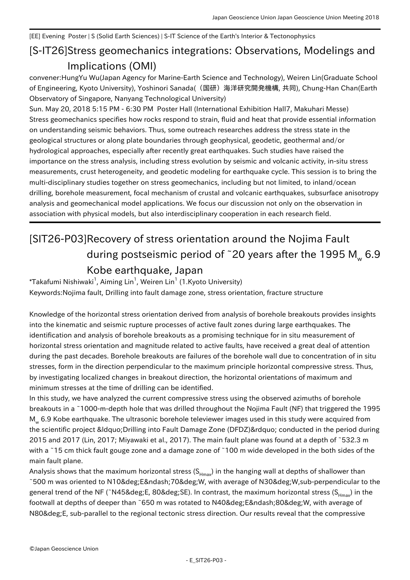## [EE] Evening Poster | S (Solid Earth Sciences) | S-IT Science of the Earth's Interior & Tectonophysics

## [S-IT26] Stress geomechanics integrations: Observations, Modelings and Implications (OMI)

convener:HungYu Wu(Japan Agency for Marine-Earth Science and Technology), Weiren Lin(Graduate School of Engineering, Kyoto University), Yoshinori Sanada((国研)海洋研究開発機構, 共同), Chung-Han Chan(Earth Observatory of Singapore, Nanyang Technological University)

Sun. May 20, 2018 5:15 PM - 6:30 PM Poster Hall (International Exhibition Hall7, Makuhari Messe) Stress geomechanics specifies how rocks respond to strain, fluid and heat that provide essential information on understanding seismic behaviors. Thus, some outreach researches address the stress state in the geological structures or along plate boundaries through geophysical, geodetic, geothermal and/or hydrological approaches, especially after recently great earthquakes. Such studies have raised the importance on the stress analysis, including stress evolution by seismic and volcanic activity, in-situ stress measurements, crust heterogeneity, and geodetic modeling for earthquake cycle. This session is to bring the multi-disciplinary studies together on stress geomechanics, including but not limited, to inland/ocean drilling, borehole measurement, focal mechanism of crustal and volcanic earthquakes, subsurface anisotropy analysis and geomechanical model applications. We focus our discussion not only on the observation in association with physical models, but also interdisciplinary cooperation in each research field.

## [SIT26-P03] Recovery of stress orientation around the Nojima Fault during postseismic period of ~20 years after the 1995 M $_{\tiny \textrm{w}}$  6.9 Kobe earthquake, Japan

 $^*$ Takafumi Nishiwaki $^1$ , Aiming Lin $^1$ , Weiren Lin $^1$  (1.Kyoto University) Keywords:Nojima fault, Drilling into fault damage zone, stress orientation, fracture structure

Knowledge of the horizontal stress orientation derived from analysis of borehole breakouts provides insights into the kinematic and seismic rupture processes of active fault zones during large earthquakes. The identification and analysis of borehole breakouts as a promising technique for in situ measurement of horizontal stress orientation and magnitude related to active faults, have received a great deal of attention during the past decades. Borehole breakouts are failures of the borehole wall due to concentration of in situ stresses, form in the direction perpendicular to the maximum principle horizontal compressive stress. Thus, by investigating localized changes in breakout direction, the horizontal orientations of maximum and minimum stresses at the time of drilling can be identified.

In this study, we have analyzed the current compressive stress using the observed azimuths of borehole breakouts in a ~1000-m-depth hole that was drilled throughout the Nojima Fault (NF) that triggered the 1995 M<sub>w</sub> 6.9 Kobe earthquake. The ultrasonic borehole televiewer images used in this study were acquired from the scientific project " Drilling into Fault Damage Zone (DFDZ)" conducted in the period during 2015 and 2017 (Lin, 2017; Miyawaki et al., 2017). The main fault plane was found at a depth of ~532.3 m with a ~15 cm thick fault gouge zone and a damage zone of ~100 m wide developed in the both sides of the main fault plane.

Analysis shows that the maximum horizontal stress  $(S_{Hmax})$  in the hanging wall at depths of shallower than ~500 m was oriented to N10°E–70°W, with average of N30°W,sub-perpendicular to the general trend of the NF (~N45°E, 80°SE). In contrast, the maximum horizontal stress ( $S_{H_{max}}$ ) in the footwall at depths of deeper than ~650 m was rotated to N40° E– 80° W, with average of N80°E, sub-parallel to the regional tectonic stress direction. Our results reveal that the compressive